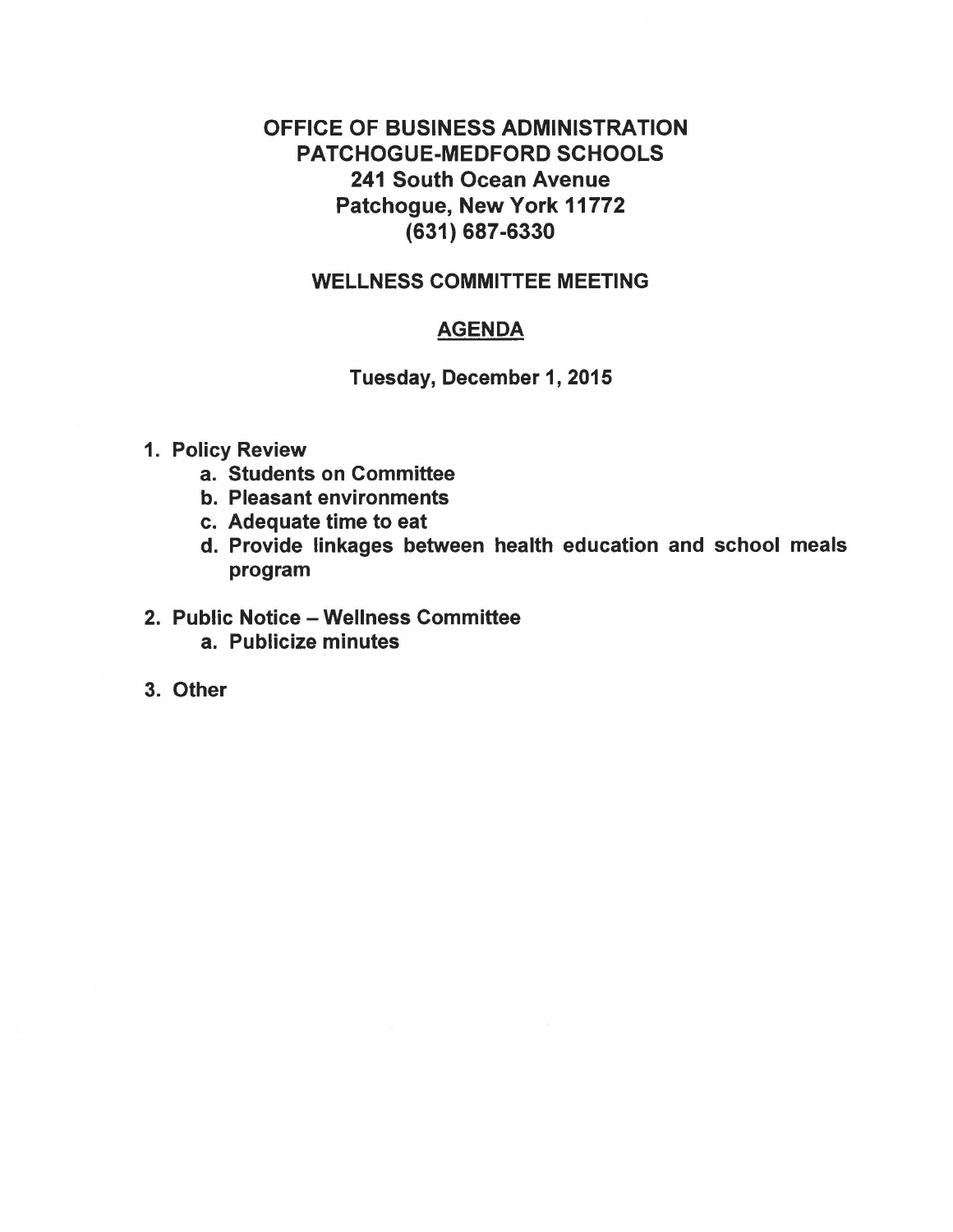# OFFICE OF BUSINESS ADMINISTRATION PATCHOGUE-MEDFORD SCHOOLS 241 South Ocean Avenue Patchogue, New York 11772 (631) 687-6330

# WELLNESS COMMITTEE MEETING

# **AGENDA**

Tuesday, December 1, 2015

- 1. Policy Review
	- a. Students on Committee
	- b. Pleasant environments
	- c. Adequate time to eat
	- d. Provide linkages between health education and school meals program

# 2. Public Notice - Wellness Committee

- a. Publicize minutes
- 3. Other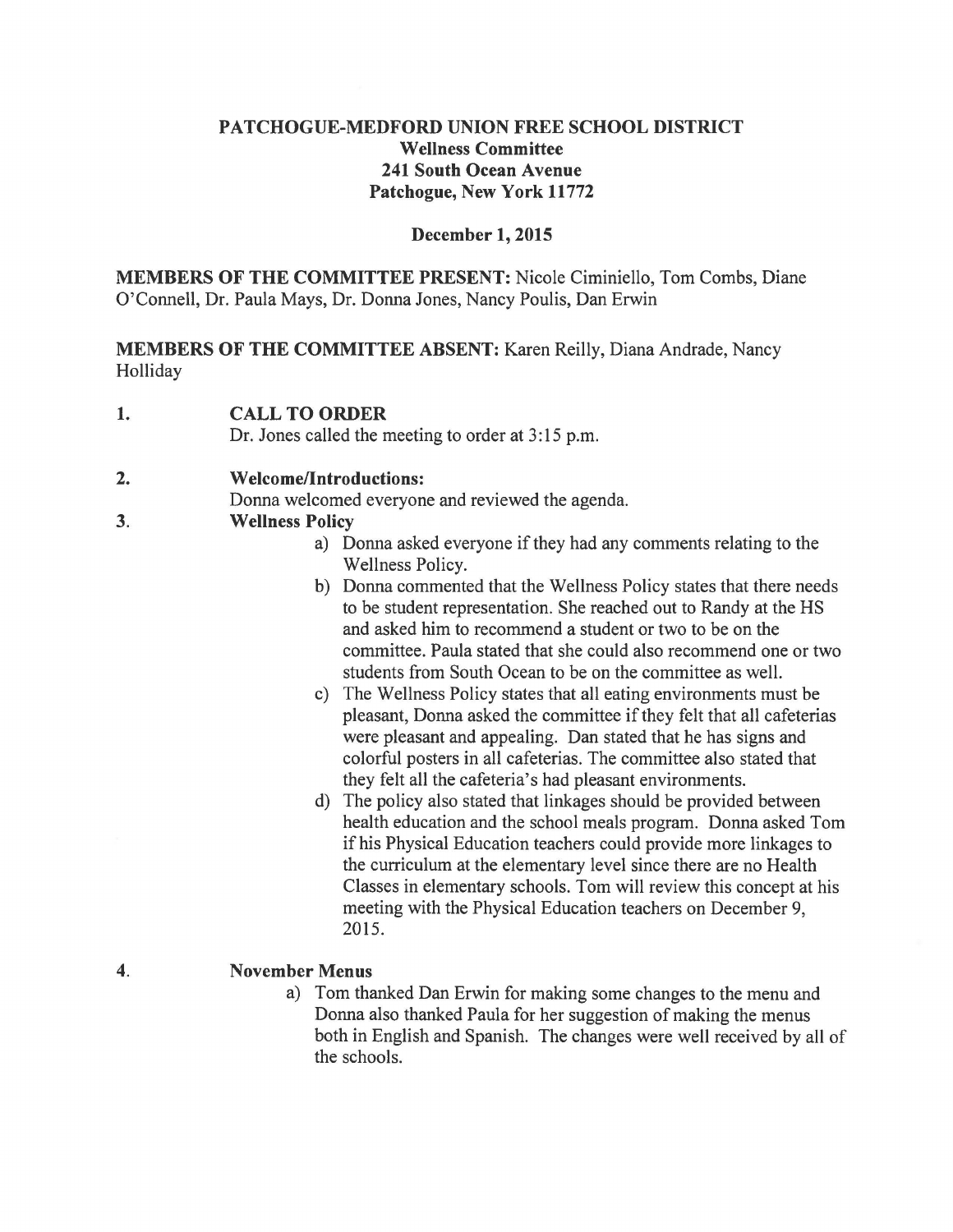# **PATCHOGUE-MEDFORD UNION FREE SCHOOL DISTRICT Wellness Committee 241 South Ocean Avenue Patchogue, New York 11772**

#### **December 1, 2015**

**MEMBERS OF THE COMMITTEE PRESENT:** Nicole Ciminiello, Tom Combs, Diane O'Connell, Dr. Paula Mays, Dr. Donna Jones, Nancy Poulis, Dan Erwin

**MEMBERS OF THE COMMITTEE ABSENT:** Karen Reilly, Diana Andrade, Nancy Holliday

**1. CALL TO ORDER** 

Dr. Jones called the meeting to order at 3:15 p.m.

#### **2. Welcome/Introductions:**

Donna welcomed everyone and reviewed the agenda.

#### **3. Wellness Policy**

- a) Donna asked everyone if they had any comments relating to the Wellness Policy.
- b) Donna commented that the Wellness Policy states that there needs to be student representation. She reached out to Randy at the HS and asked him to recommend a student or two to be on the committee. Paula stated that she could also recommend one or two students from South Ocean to be on the committee as well.
- c) The Wellness Policy states that all eating environments must be pleasant, Donna asked the committee if they felt that all cafeterias were pleasant and appealing. Dan stated that he has signs and colorful posters in all cafeterias. The committee also stated that they felt all the cafeteria's had pleasant environments.
- d) The policy also stated that linkages should be provided between health education and the school meals program. Donna asked Tom if his Physical Education teachers could provide more linkages to the curriculum at the elementary level since there are no Health Classes in elementary schools. Tom will review this concept at his meeting with the Physical Education teachers on December 9, 2015.
- **4. November Menus** 
	- a) Tom thanked Dan Erwin for making some changes to the menu and Donna also thanked Paula for her suggestion of making the menus both in English and Spanish. The changes were well received by all of the schools.